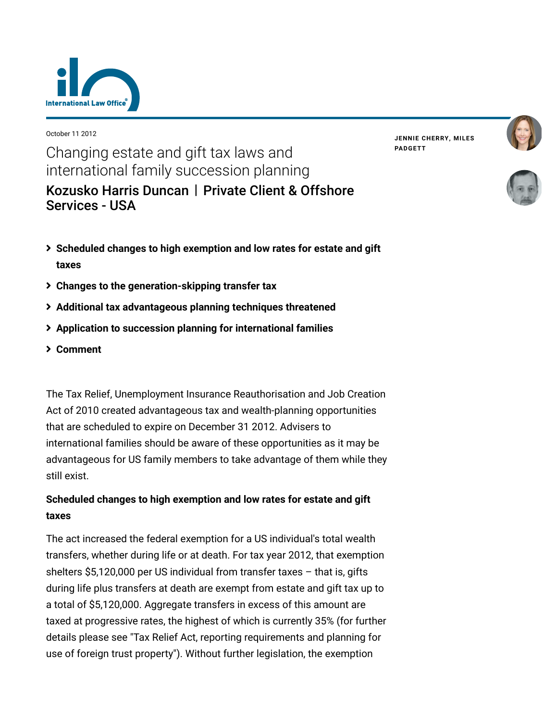

October 11 2012

**JENNIE [CHERRY,](https://www.lexology.com/23364/author/Jennie_Cherry/) MILES [PADGETT](https://www.lexology.com/23364/author/Miles_Padgett/)**





Changing estate and gift tax laws and international family succession planning [Kozusko Harris Duncan](https://www.lexology.com/contributors/23364) | Private Client & Offshore Services - USA

- **[Scheduled changes to high exemption and low rates for estate and gift](#page-0-0) taxes**
- **[Changes to the generation-skipping transfer tax](#page-1-0)**
- **[Additional tax advantageous planning techniques threatened](#page-1-1)**
- **[Application to succession planning for international families](#page-1-2)**
- **[Comment](#page-3-0)**

The Tax Relief, Unemployment Insurance Reauthorisation and Job Creation Act of 2010 created advantageous tax and wealth-planning opportunities that are scheduled to expire on December 31 2012. Advisers to international families should be aware of these opportunities as it may be advantageous for US family members to take advantage of them while they still exist.

# <span id="page-0-0"></span>**Scheduled changes to high exemption and low rates for estate and gift taxes**

The act increased the federal exemption for a US individual's total wealth transfers, whether during life or at death. For tax year 2012, that exemption shelters \$5,120,000 per US individual from transfer taxes – that is, gifts during life plus transfers at death are exempt from estate and gift tax up to a total of \$5,120,000. Aggregate transfers in excess of this amount are taxed at progressive rates, the highest of which is currently 35% (for further [details please see "Tax Relief Act, reporting requirements and planning for](http://www.internationallawoffice.com/newsletters/Detail.aspx?g=3315fb1c-b83d-45a5-95af-ca4f72b678dc) use of foreign trust property"). Without further legislation, the exemption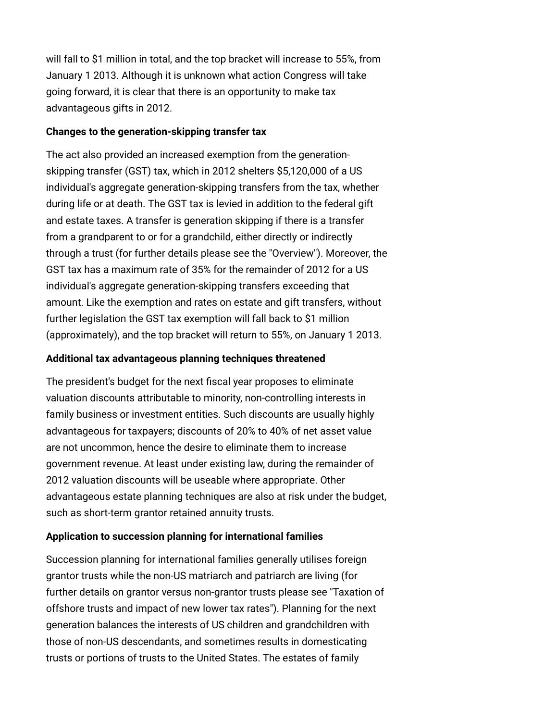will fall to \$1 million in total, and the top bracket will increase to 55%, from January 1 2013. Although it is unknown what action Congress will take going forward, it is clear that there is an opportunity to make tax advantageous gifts in 2012.

### <span id="page-1-0"></span>**Changes to the generation-skipping transfer tax**

The act also provided an increased exemption from the generationskipping transfer (GST) tax, which in 2012 shelters \$5,120,000 of a US individual's aggregate generation-skipping transfers from the tax, whether during life or at death. The GST tax is levied in addition to the federal gift and estate taxes. A transfer is generation skipping if there is a transfer from a grandparent to or for a grandchild, either directly or indirectly through a trust (for further details please see the "[Overview](http://www.internationallawoffice.com/newsletters/Detail.aspx?g=429b7792-bd9b-46ca-aef0-2ae550fd9081)"). Moreover, the GST tax has a maximum rate of 35% for the remainder of 2012 for a US individual's aggregate generation-skipping transfers exceeding that amount. Like the exemption and rates on estate and gift transfers, without further legislation the GST tax exemption will fall back to \$1 million (approximately), and the top bracket will return to 55%, on January 1 2013.

# <span id="page-1-1"></span>**Additional tax advantageous planning techniques threatened**

The president's budget for the next fiscal year proposes to eliminate valuation discounts attributable to minority, non-controlling interests in family business or investment entities. Such discounts are usually highly advantageous for taxpayers; discounts of 20% to 40% of net asset value are not uncommon, hence the desire to eliminate them to increase government revenue. At least under existing law, during the remainder of 2012 valuation discounts will be useable where appropriate. Other advantageous estate planning techniques are also at risk under the budget, such as short-term grantor retained annuity trusts.

## <span id="page-1-2"></span>**Application to succession planning for international families**

Succession planning for international families generally utilises foreign grantor trusts while the non-US matriarch and patriarch are living (for [further details on grantor versus non-grantor trusts please see "Taxation of](http://www.internationallawoffice.com/Newsletters/detail.aspx?r=7017) offshore trusts and impact of new lower tax rates"). Planning for the next generation balances the interests of US children and grandchildren with those of non-US descendants, and sometimes results in domesticating trusts or portions of trusts to the United States. The estates of family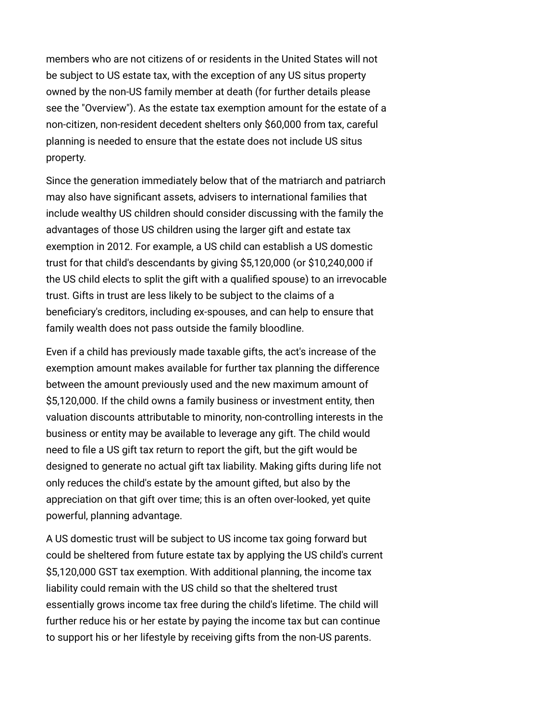members who are not citizens of or residents in the United States will not be subject to US estate tax, with the exception of any US situs property owned by the non-US family member at death (for further details please see the ["Overview"](http://www.internationallawoffice.com/newsletters/Detail.aspx?g=429b7792-bd9b-46ca-aef0-2ae550fd9081)). As the estate tax exemption amount for the estate of a non-citizen, non-resident decedent shelters only \$60,000 from tax, careful planning is needed to ensure that the estate does not include US situs property.

Since the generation immediately below that of the matriarch and patriarch may also have significant assets, advisers to international families that include wealthy US children should consider discussing with the family the advantages of those US children using the larger gift and estate tax exemption in 2012. For example, a US child can establish a US domestic trust for that child's descendants by giving \$5,120,000 (or \$10,240,000 if the US child elects to split the gift with a qualified spouse) to an irrevocable trust. Gifts in trust are less likely to be subject to the claims of a beneficiary's creditors, including ex-spouses, and can help to ensure that family wealth does not pass outside the family bloodline.

Even if a child has previously made taxable gifts, the act's increase of the exemption amount makes available for further tax planning the difference between the amount previously used and the new maximum amount of \$5,120,000. If the child owns a family business or investment entity, then valuation discounts attributable to minority, non-controlling interests in the business or entity may be available to leverage any gift. The child would need to file a US gift tax return to report the gift, but the gift would be designed to generate no actual gift tax liability. Making gifts during life not only reduces the child's estate by the amount gifted, but also by the appreciation on that gift over time; this is an often over-looked, yet quite powerful, planning advantage.

A US domestic trust will be subject to US income tax going forward but could be sheltered from future estate tax by applying the US child's current \$5,120,000 GST tax exemption. With additional planning, the income tax liability could remain with the US child so that the sheltered trust essentially grows income tax free during the child's lifetime. The child will further reduce his or her estate by paying the income tax but can continue to support his or her lifestyle by receiving gifts from the non-US parents.